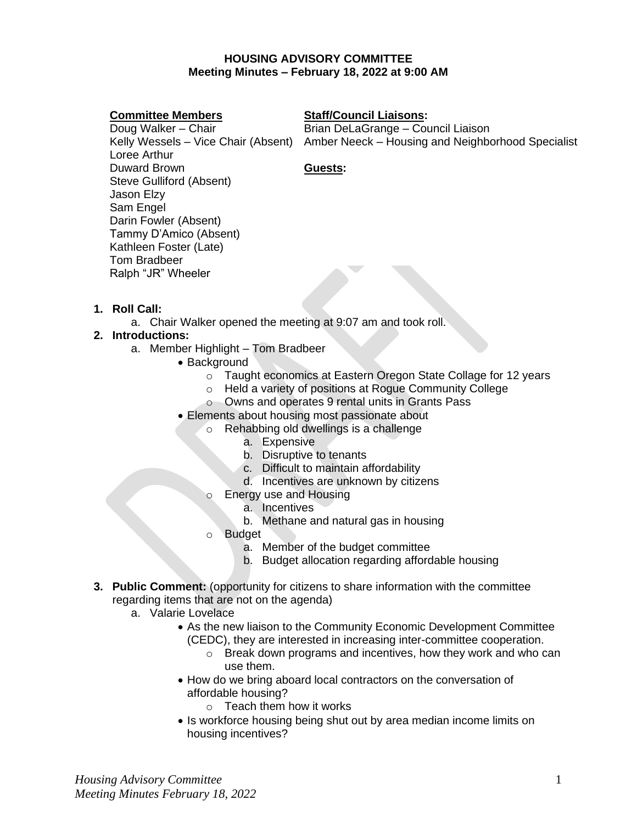## **HOUSING ADVISORY COMMITTEE Meeting Minutes – February 18, 2022 at 9:00 AM**

### **Committee Members**

### **Staff/Council Liaisons:**

Doug Walker – Chair Loree Arthur Duward Brown Steve Gulliford (Absent) Jason Elzy Sam Engel Darin Fowler (Absent) Tammy D'Amico (Absent) Kathleen Foster (Late) Tom Bradbeer Ralph "JR" Wheeler

Kelly Wessels – Vice Chair (Absent) Amber Neeck – Housing and Neighborhood Specialist Brian DeLaGrange – Council Liaison

## **Guests:**

- **1. Roll Call:** 
	- a. Chair Walker opened the meeting at 9:07 am and took roll.

# **2. Introductions:**

- a. Member Highlight Tom Bradbeer
	- Background
		- o Taught economics at Eastern Oregon State Collage for 12 years
		- o Held a variety of positions at Rogue Community College
		- o Owns and operates 9 rental units in Grants Pass
	- Elements about housing most passionate about
		- o Rehabbing old dwellings is a challenge
			- a. Expensive
			- b. Disruptive to tenants
			- c. Difficult to maintain affordability
			- d. Incentives are unknown by citizens
			- o Energy use and Housing
				- a. Incentives
				- b. Methane and natural gas in housing
			- **Budget** 
				- a. Member of the budget committee
				- b. Budget allocation regarding affordable housing
- **3. Public Comment:** (opportunity for citizens to share information with the committee regarding items that are not on the agenda)
	- a. Valarie Lovelace
		- As the new liaison to the Community Economic Development Committee (CEDC), they are interested in increasing inter-committee cooperation.
			- o Break down programs and incentives, how they work and who can use them.
		- How do we bring aboard local contractors on the conversation of affordable housing?
			- $\circ$  Teach them how it works
		- Is workforce housing being shut out by area median income limits on housing incentives?

*Housing Advisory Committee Meeting Minutes February 18, 2022*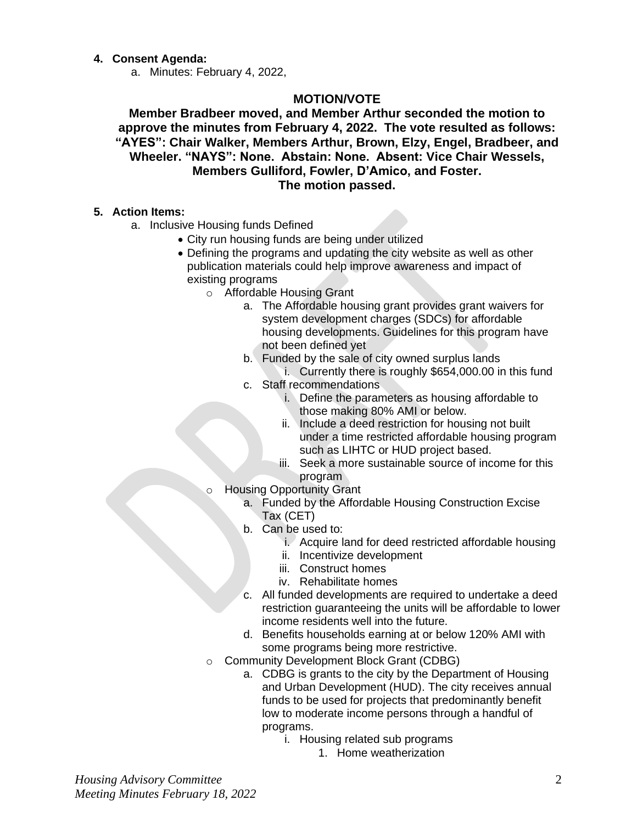### **4. Consent Agenda:**

a. Minutes: February 4, 2022,

# **MOTION/VOTE**

**Member Bradbeer moved, and Member Arthur seconded the motion to approve the minutes from February 4, 2022. The vote resulted as follows: "AYES": Chair Walker, Members Arthur, Brown, Elzy, Engel, Bradbeer, and Wheeler. "NAYS": None. Abstain: None. Absent: Vice Chair Wessels, Members Gulliford, Fowler, D'Amico, and Foster. The motion passed.**

#### **5. Action Items:**

- a. Inclusive Housing funds Defined
	- City run housing funds are being under utilized
	- Defining the programs and updating the city website as well as other publication materials could help improve awareness and impact of existing programs
		- o Affordable Housing Grant
			- a. The Affordable housing grant provides grant waivers for system development charges (SDCs) for affordable housing developments. Guidelines for this program have not been defined yet
			- b. Funded by the sale of city owned surplus lands

i. Currently there is roughly \$654,000.00 in this fund c. Staff recommendations

- i. Define the parameters as housing affordable to those making 80% AMI or below.
- ii. Include a deed restriction for housing not built under a time restricted affordable housing program such as LIHTC or HUD project based.
- iii. Seek a more sustainable source of income for this program
- o Housing Opportunity Grant
	- a. Funded by the Affordable Housing Construction Excise Tax (CET)
	- b. Can be used to:
		- i. Acquire land for deed restricted affordable housing
		- ii. Incentivize development
		- iii. Construct homes
		- iv. Rehabilitate homes
	- c. All funded developments are required to undertake a deed restriction guaranteeing the units will be affordable to lower income residents well into the future.
	- d. Benefits households earning at or below 120% AMI with some programs being more restrictive.
- o Community Development Block Grant (CDBG)
	- a. CDBG is grants to the city by the Department of Housing and Urban Development (HUD). The city receives annual funds to be used for projects that predominantly benefit low to moderate income persons through a handful of programs.
		- i. Housing related sub programs
			- 1. Home weatherization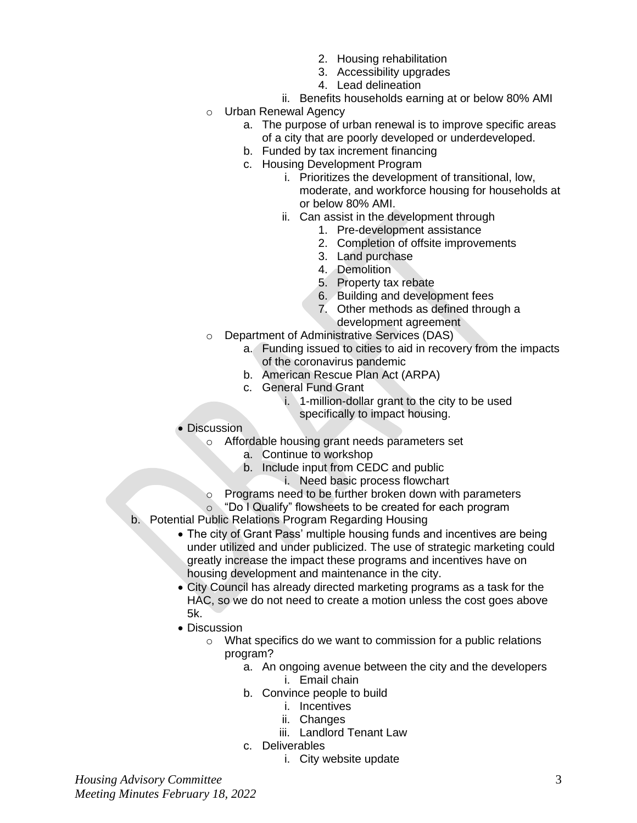- 2. Housing rehabilitation
- 3. Accessibility upgrades
- 4. Lead delineation
- ii. Benefits households earning at or below 80% AMI
- o Urban Renewal Agency
	- a. The purpose of urban renewal is to improve specific areas of a city that are poorly developed or underdeveloped.
	- b. Funded by tax increment financing
	- c. Housing Development Program
		- i. Prioritizes the development of transitional, low, moderate, and workforce housing for households at or below 80% AMI.
		- ii. Can assist in the development through
			- 1. Pre-development assistance
			- 2. Completion of offsite improvements
			- 3. Land purchase
			- 4. Demolition
			- 5. Property tax rebate
			- 6. Building and development fees
			- 7. Other methods as defined through a development agreement
- o Department of Administrative Services (DAS)
	- a. Funding issued to cities to aid in recovery from the impacts of the coronavirus pandemic
	- b. American Rescue Plan Act (ARPA)
	- c. General Fund Grant
		- i. 1-million-dollar grant to the city to be used specifically to impact housing.
- Discussion
	- o Affordable housing grant needs parameters set
		- a. Continue to workshop
		- b. Include input from CEDC and public
			- i. Need basic process flowchart
	- o Programs need to be further broken down with parameters
	- o "Do I Qualify" flowsheets to be created for each program
- b. Potential Public Relations Program Regarding Housing
	- The city of Grant Pass' multiple housing funds and incentives are being under utilized and under publicized. The use of strategic marketing could greatly increase the impact these programs and incentives have on housing development and maintenance in the city.
	- City Council has already directed marketing programs as a task for the HAC, so we do not need to create a motion unless the cost goes above 5k.
	- Discussion
		- o What specifics do we want to commission for a public relations program?
			- a. An ongoing avenue between the city and the developers
				- i. Email chain
			- b. Convince people to build
				- i. Incentives
				- ii. Changes
				- iii. Landlord Tenant Law
			- c. Deliverables
				- i. City website update

*Housing Advisory Committee Meeting Minutes February 18, 2022*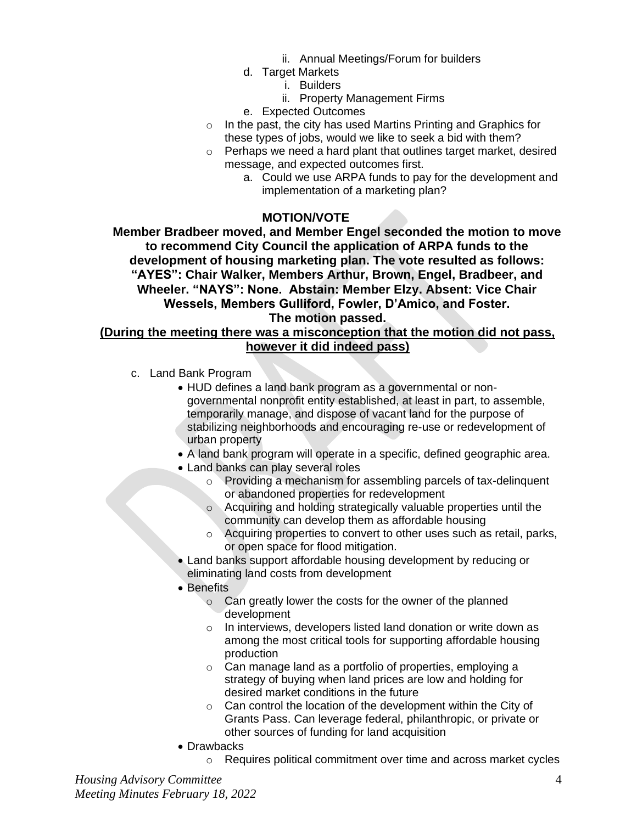- ii. Annual Meetings/Forum for builders
- d. Target Markets
	- i. Builders
	- ii. Property Management Firms
- e. Expected Outcomes
- o In the past, the city has used Martins Printing and Graphics for these types of jobs, would we like to seek a bid with them?
- o Perhaps we need a hard plant that outlines target market, desired message, and expected outcomes first.
	- a. Could we use ARPA funds to pay for the development and implementation of a marketing plan?

### **MOTION/VOTE**

**Member Bradbeer moved, and Member Engel seconded the motion to move to recommend City Council the application of ARPA funds to the development of housing marketing plan. The vote resulted as follows: "AYES": Chair Walker, Members Arthur, Brown, Engel, Bradbeer, and Wheeler. "NAYS": None. Abstain: Member Elzy. Absent: Vice Chair Wessels, Members Gulliford, Fowler, D'Amico, and Foster. The motion passed.**

# **(During the meeting there was a misconception that the motion did not pass, however it did indeed pass)**

- c. Land Bank Program
	- HUD defines a land bank program as a governmental or nongovernmental nonprofit entity established, at least in part, to assemble, temporarily manage, and dispose of vacant land for the purpose of stabilizing neighborhoods and encouraging re-use or redevelopment of urban property
	- A land bank program will operate in a specific, defined geographic area.
	- Land banks can play several roles
		- $\circ$  Providing a mechanism for assembling parcels of tax-delinguent or abandoned properties for redevelopment
		- o Acquiring and holding strategically valuable properties until the community can develop them as affordable housing
		- o Acquiring properties to convert to other uses such as retail, parks, or open space for flood mitigation.
	- Land banks support affordable housing development by reducing or eliminating land costs from development
	- Benefits
		- o Can greatly lower the costs for the owner of the planned development
		- o In interviews, developers listed land donation or write down as among the most critical tools for supporting affordable housing production
		- o Can manage land as a portfolio of properties, employing a strategy of buying when land prices are low and holding for desired market conditions in the future
		- $\circ$  Can control the location of the development within the City of Grants Pass. Can leverage federal, philanthropic, or private or other sources of funding for land acquisition
	- Drawbacks
		- o Requires political commitment over time and across market cycles

*Housing Advisory Committee Meeting Minutes February 18, 2022*